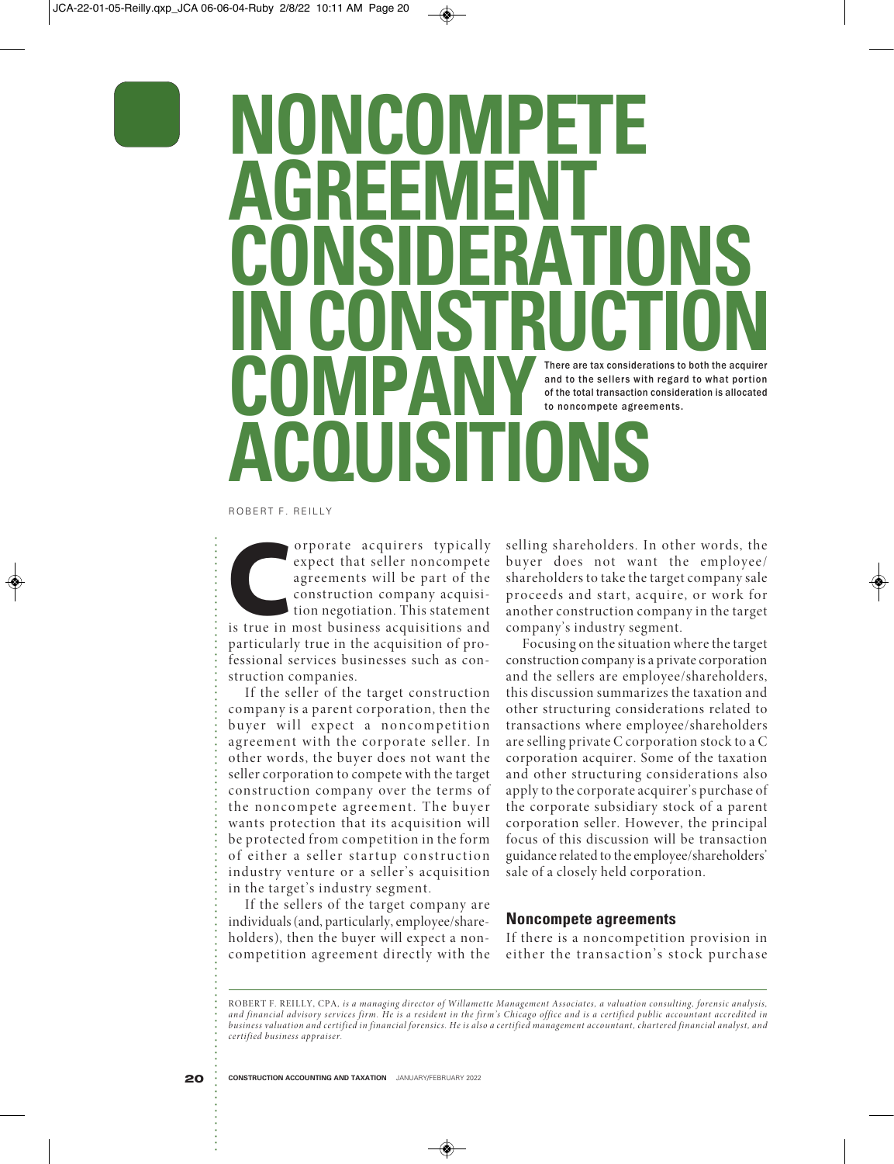# **ONCONVIP AGREEMENT CONSIDERATIONS IN CONSTRUCTION COMPANY ACQUISITIONS** There are tax considerations to both the acquirer and to the sellers with regard to what portion of the total transaction consideration is allocated to noncompete agreements.

ROBERT F. REILLY

**COBERT F. REILLY**<br> **CORPORE:**<br> **CORPORE:**<br> **CORPORE:**<br> **CORPORE:**<br> **CORPORE:**<br> **CORPORE:**<br> **CORPORE:**<br> **CORPORE:**<br> **CORPORE:**<br> **CORPORE:**<br> **CORPORE:**<br> **CORPORE:**<br> **CORPORE:**<br> **CORPORE:**<br> **CORPORE:**<br> **CORPORE:**<br> **CORPORE:** expect that seller noncompete agreements will be part of the construction company acquisition negotiation. This statement is true in most business acquisitions and particularly true in the acquisition of professional services businesses such as construction companies.

If the seller of the target construction company is a parent corporation, then the buyer will expect a noncompetition agreement with the corporate seller. In other words, the buyer does not want the seller corporation to compete with the target construction company over the terms of the noncompete agreement. The buyer wants protection that its acquisition will be protected from competition in the form of either a seller startup construction industry venture or a seller's acquisition in the target's industry segment.

If the sellers of the target company are individuals (and, particularly, employee/shareholders), then the buyer will expect a noncompetition agreement directly with the

selling shareholders. In other words, the buyer does not want the employee/ shareholders to take the target company sale proceeds and start, acquire, or work for another construction company in the target company's industry segment.

Focusing on the situation where the target construction company is a private corporation and the sellers are employee/shareholders, this discussion summarizes the taxation and other structuring considerations related to transactions where employee/shareholders are selling private C corporation stock to a C corporation acquirer. Some of the taxation and other structuring considerations also apply to the corporate acquirer's purchase of the corporate subsidiary stock of a parent corporation seller. However, the principal focus of this discussion will be transaction guidance related to the employee/shareholders' sale of a closely held corporation.

#### **Noncompete agreements**

If there is a noncompetition provision in either the transaction's stock purchase

ROBERT F. REILLY, CPA*, is a managing director of Willamette Management Associates, a valuation consulting, forensic analysis, and financial advisory services firm. He is a resident in the firm's Chicago office and is a certified public accountant accredited in business valuation and certified in financial forensics. He is also a certified management accountant, chartered financial analyst, and certified business appraiser.*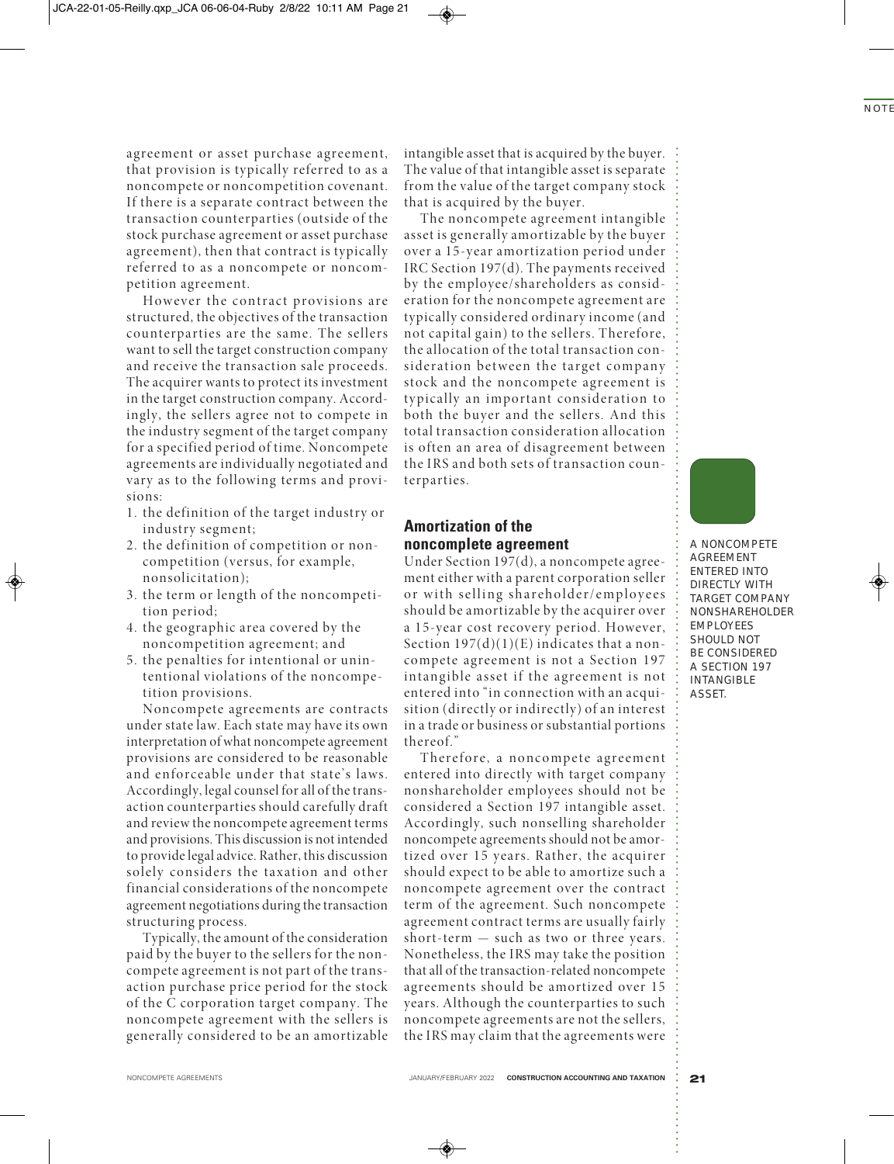agreement or asset purchase agreement, that provision is typically referred to as a noncompete or noncompetition covenant. If there is a separate contract between the transaction counterparties (outside of the stock purchase agreement or asset purchase agreement), then that contract is typically referred to as a noncompete or noncompetition agreement.

However the contract provisions are structured, the objectives of the transaction counterparties are the same. The sellers want to sell the target construction company and receive the transaction sale proceeds. The acquirer wants to protect its investment in the target construction company. Accordingly, the sellers agree not to compete in the industry segment of the target company for a specified period of time. Noncompete agreements are individually negotiated and vary as to the following terms and provisions:

- 1. the definition of the target industry or industry segment;
- 2. the definition of competition or noncompetition (versus, for example, nonsolicitation);
- 3. the term or length of the noncompetition period;
- 4. the geographic area covered by the noncompetition agreement; and
- 5. the penalties for intentional or unintentional violations of the noncompetition provisions.

Noncompete agreements are contracts under state law. Each state may have its own interpretation of what noncompete agreement provisions are considered to be reasonable and enforceable under that state's laws. Accordingly, legal counsel for all of the transaction counterparties should carefully draft and review the noncompete agreement terms and provisions. This discussion is not intended to provide legal advice. Rather, this discussion solely considers the taxation and other financial considerations of the noncompete agreement negotiations during the transaction structuring process.

Typically, the amount of the consideration paid by the buyer to the sellers for the noncompete agreement is not part of the transaction purchase price period for the stock of the C corporation target company. The noncompete agreement with the sellers is generally considered to be an amortizable

intangible asset that is acquired by the buyer. The value of that intangible asset is separate from the value of the target company stock that is acquired by the buyer.

The noncompete agreement intangible asset is generally amortizable by the buyer over a 15-year amortization period under IRC Section 197(d). The payments received by the employee/shareholders as consideration for the noncompete agreement are typically considered ordinary income (and not capital gain) to the sellers. Therefore, the allocation of the total transaction consideration between the target company stock and the noncompete agreement is typically an important consideration to both the buyer and the sellers. And this total transaction consideration allocation is often an area of disagreement between the IRS and both sets of transaction counterparties.

# **Amortization of the noncomplete agreement**

Under Section 197(d), a noncompete agreement either with a parent corporation seller or with selling shareholder/employees should be amortizable by the acquirer over a 15-year cost recovery period. However, Section  $197(d)(1)(E)$  indicates that a noncompete agreement is not a Section 197 intangible asset if the agreement is not entered into "in connection with an acquisition (directly or indirectly) of an interest in a trade or business or substantial portions thereof."

Therefore, a noncompete agreement entered into directly with target company nonshareholder employees should not be considered a Section 197 intangible asset. Accordingly, such nonselling shareholder noncompete agreements should not be amortized over 15 years. Rather, the acquirer should expect to be able to amortize such a noncompete agreement over the contract term of the agreement. Such noncompete agreement contract terms are usually fairly short-term — such as two or three years. Nonetheless, the IRS may take the position that all of the transaction-related noncompete agreements should be amortized over 15 years. Although the counterparties to such noncompete agreements are not the sellers, the IRS may claim that the agreements were

**A NONCOMPETE AGREEMENT ENTERED INTO DIRECTLY WITH TARGET COMPANY NONSHAREHOLDER EMPLOYEES SHOULD NOT BE CONSIDERED A SECTION 197 INTANGIBLE ASSET.**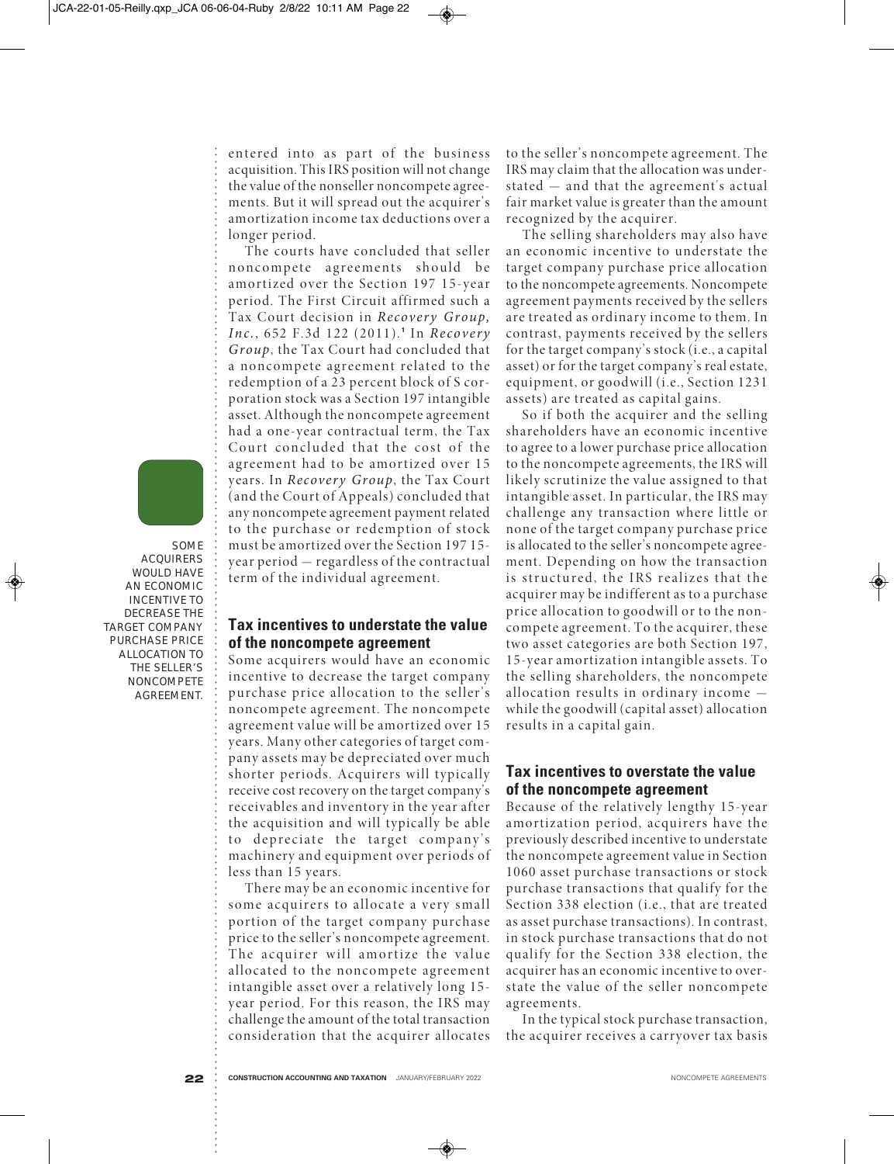entered into as part of the business acquisition. This IRS position will not change the value of the nonseller noncompete agreements. But it will spread out the acquirer's amortization income tax deductions over a longer period.

The courts have concluded that seller noncompete agreements should be amortized over the Section 197 15-year period. The First Circuit affirmed such a Tax Court decision in *Recovery Group, Inc.*, 652 F.3d 122 (2011). **<sup>1</sup>** In *Recovery Group*, the Tax Court had concluded that a noncompete agreement related to the redemption of a 23 percent block of S corporation stock was a Section 197 intangible asset. Although the noncompete agreement had a one-year contractual term, the Tax Court concluded that the cost of the agreement had to be amortized over 15 years. In *Recovery Group*, the Tax Court (and the Court of Appeals) concluded that any noncompete agreement payment related to the purchase or redemption of stock must be amortized over the Section 197 15 year period — regardless of the contractual term of the individual agreement.

## **Tax incentives to understate the value of the noncompete agreement**

Some acquirers would have an economic incentive to decrease the target company purchase price allocation to the seller's noncompete agreement. The noncompete agreement value will be amortized over 15 years. Many other categories of target company assets may be depreciated over much shorter periods. Acquirers will typically receive cost recovery on the target company's receivables and inventory in the year after the acquisition and will typically be able to depreciate the target company's machinery and equipment over periods of less than 15 years.

There may be an economic incentive for some acquirers to allocate a very small portion of the target company purchase price to the seller's noncompete agreement. The acquirer will amortize the value allocated to the noncompete agreement intangible asset over a relatively long 15 year period. For this reason, the IRS may challenge the amount of the total transaction consideration that the acquirer allocates to the seller's noncompete agreement. The IRS may claim that the allocation was understated — and that the agreement's actual fair market value is greater than the amount recognized by the acquirer.

The selling shareholders may also have an economic incentive to understate the target company purchase price allocation to the noncompete agreements. Noncompete agreement payments received by the sellers are treated as ordinary income to them. In contrast, payments received by the sellers for the target company's stock (i.e., a capital asset) or for the target company's real estate, equipment, or goodwill (i.e., Section 1231 assets) are treated as capital gains.

So if both the acquirer and the selling shareholders have an economic incentive to agree to a lower purchase price allocation to the noncompete agreements, the IRS will likely scrutinize the value assigned to that intangible asset. In particular, the IRS may challenge any transaction where little or none of the target company purchase price is allocated to the seller's noncompete agreement. Depending on how the transaction is structured, the IRS realizes that the acquirer may be indifferent as to a purchase price allocation to goodwill or to the noncompete agreement. To the acquirer, these two asset categories are both Section 197, 15-year amortization intangible assets. To the selling shareholders, the noncompete allocation results in ordinary income while the goodwill (capital asset) allocation results in a capital gain.

# **Tax incentives to overstate the value of the noncompete agreement**

Because of the relatively lengthy 15-year amortization period, acquirers have the previously described incentive to understate the noncompete agreement value in Section 1060 asset purchase transactions or stock purchase transactions that qualify for the Section 338 election (i.e., that are treated as asset purchase transactions). In contrast, in stock purchase transactions that do not qualify for the Section 338 election, the acquirer has an economic incentive to overstate the value of the seller noncompete agreements.

In the typical stock purchase transaction, the acquirer receives a carryover tax basis



**ACQUIRERS WOULD HAVE AN ECONOMIC INCENTIVE TO DECREASE THE TARGET COMPANY PURCHASE PRICE ALLOCATION TO THE SELLER'S NONCOMPETE AGREEMENT.**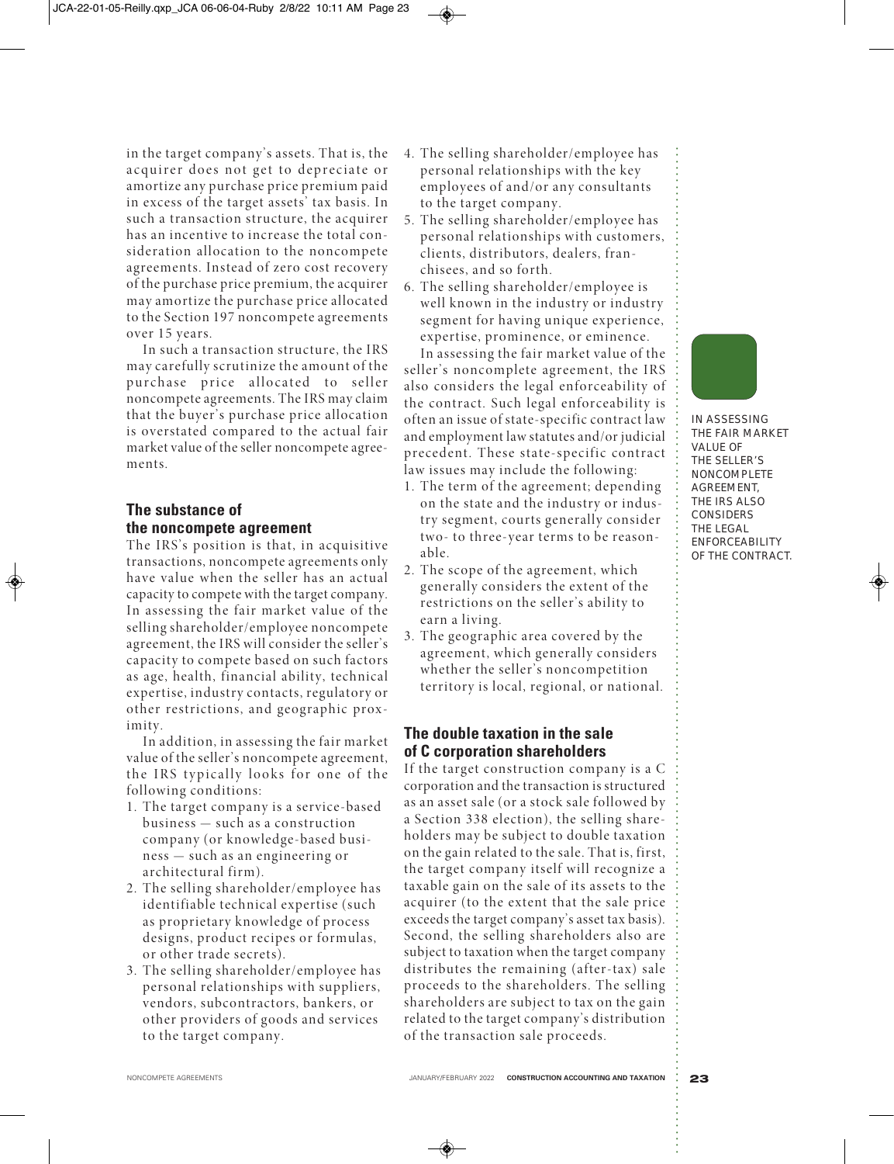in the target company's assets. That is, the acquirer does not get to depreciate or amortize any purchase price premium paid in excess of the target assets' tax basis. In such a transaction structure, the acquirer has an incentive to increase the total consideration allocation to the noncompete agreements. Instead of zero cost recovery of the purchase price premium, the acquirer may amortize the purchase price allocated to the Section 197 noncompete agreements over 15 years.

In such a transaction structure, the IRS may carefully scrutinize the amount of the purchase price allocated to seller noncompete agreements. The IRS may claim that the buyer's purchase price allocation is overstated compared to the actual fair market value of the seller noncompete agreements.

# **The substance of the noncompete agreement**

The IRS's position is that, in acquisitive transactions, noncompete agreements only have value when the seller has an actual capacity to compete with the target company. In assessing the fair market value of the selling shareholder/employee noncompete agreement, the IRS will consider the seller's capacity to compete based on such factors as age, health, financial ability, technical expertise, industry contacts, regulatory or other restrictions, and geographic proximity.

In addition, in assessing the fair market value of the seller's noncompete agreement, the IRS typically looks for one of the following conditions:

- 1. The target company is a service-based business — such as a construction company (or knowledge-based business — such as an engineering or architectural firm).
- 2. The selling shareholder/employee has identifiable technical expertise (such as proprietary knowledge of process designs, product recipes or formulas, or other trade secrets).
- 3. The selling shareholder/employee has personal relationships with suppliers, vendors, subcontractors, bankers, or other providers of goods and services to the target company.
- 4. The selling shareholder/employee has personal relationships with the key employees of and/or any consultants to the target company.
- 5. The selling shareholder/employee has personal relationships with customers, clients, distributors, dealers, franchisees, and so forth.
- 6. The selling shareholder/employee is well known in the industry or industry segment for having unique experience, expertise, prominence, or eminence.

In assessing the fair market value of the seller's noncomplete agreement, the IRS also considers the legal enforceability of the contract. Such legal enforceability is often an issue of state-specific contract law and employment law statutes and/or judicial precedent. These state-specific contract law issues may include the following:

- 1. The term of the agreement; depending on the state and the industry or industry segment, courts generally consider two- to three-year terms to be reasonable.
- 2. The scope of the agreement, which generally considers the extent of the restrictions on the seller's ability to earn a living.
- 3. The geographic area covered by the agreement, which generally considers whether the seller's noncompetition territory is local, regional, or national.

# **The double taxation in the sale of C corporation shareholders**

If the target construction company is a C corporation and the transaction is structured as an asset sale (or a stock sale followed by a Section 338 election), the selling shareholders may be subject to double taxation on the gain related to the sale. That is, first, the target company itself will recognize a taxable gain on the sale of its assets to the acquirer (to the extent that the sale price exceeds the target company's asset tax basis). Second, the selling shareholders also are subject to taxation when the target company distributes the remaining (after-tax) sale proceeds to the shareholders. The selling shareholders are subject to tax on the gain related to the target company's distribution of the transaction sale proceeds.



**IN ASSESSING THE FAIR MARKET VALUE OF THE SELLER'S NONCOMPLETE AGREEMENT, THE IRS ALSO CONSIDERS THE LEGAL ENFORCEABILITY OF THE CONTRACT.**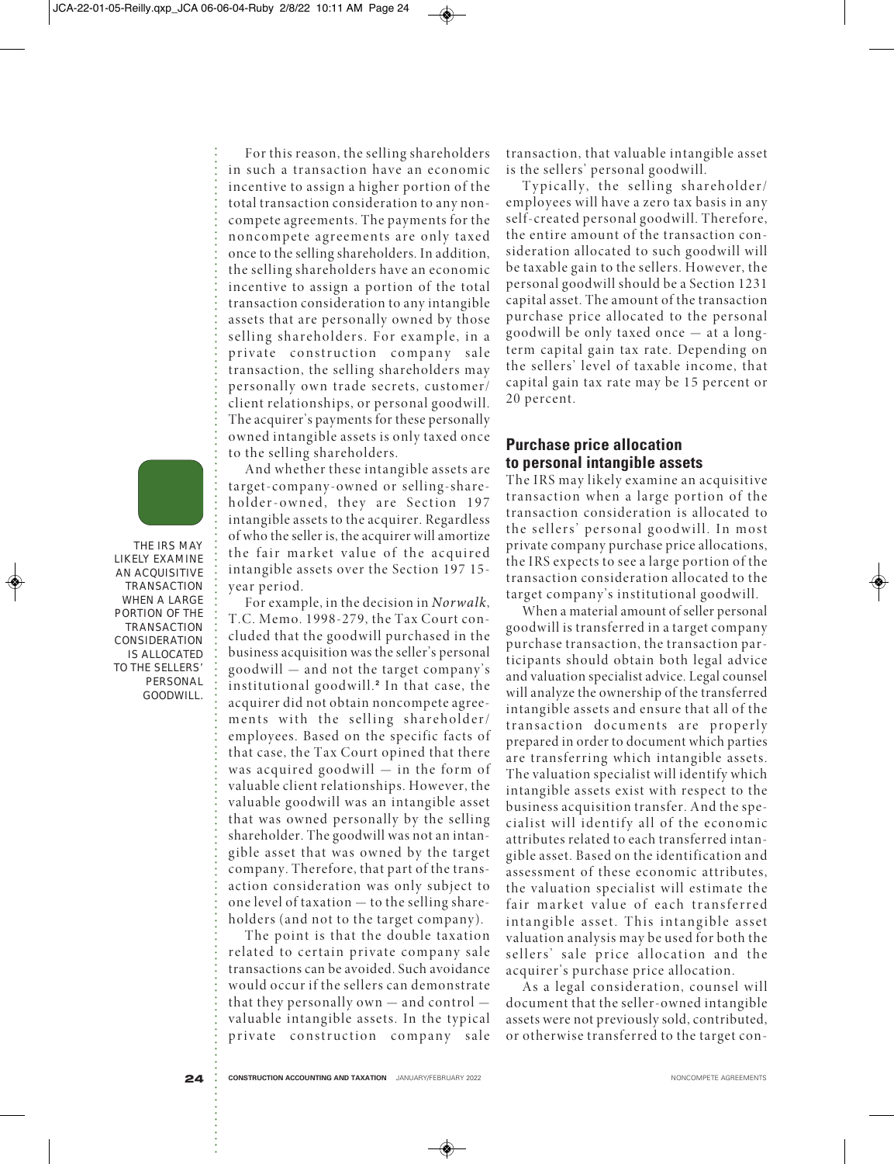For this reason, the selling shareholders in such a transaction have an economic incentive to assign a higher portion of the total transaction consideration to any noncompete agreements. The payments for the noncompete agreements are only taxed once to the selling shareholders. In addition, the selling shareholders have an economic incentive to assign a portion of the total transaction consideration to any intangible assets that are personally owned by those selling shareholders. For example, in a private construction company sale transaction, the selling shareholders may personally own trade secrets, customer/ client relationships, or personal goodwill. The acquirer's payments for these personally owned intangible assets is only taxed once to the selling shareholders.

And whether these intangible assets are target-company-owned or selling-shareholder-owned, they are Section 197 intangible assets to the acquirer. Regardless of who the seller is, the acquirer will amortize the fair market value of the acquired intangible assets over the Section 197 15 year period.

For example, in the decision in *Norwalk*, T.C. Memo. 1998-279, the Tax Court concluded that the goodwill purchased in the business acquisition was the seller's personal goodwill — and not the target company's institutional goodwill. **<sup>2</sup>** In that case, the acquirer did not obtain noncompete agreements with the selling shareholder/ employees. Based on the specific facts of that case, the Tax Court opined that there was acquired goodwill — in the form of valuable client relationships. However, the valuable goodwill was an intangible asset that was owned personally by the selling shareholder. The goodwill was not an intangible asset that was owned by the target company. Therefore, that part of the transaction consideration was only subject to one level of taxation — to the selling shareholders (and not to the target company).

The point is that the double taxation related to certain private company sale transactions can be avoided. Such avoidance would occur if the sellers can demonstrate that they personally own — and control valuable intangible assets. In the typical private construction company sale transaction, that valuable intangible asset is the sellers' personal goodwill.

Typically, the selling shareholder/ employees will have a zero tax basis in any self-created personal goodwill. Therefore, the entire amount of the transaction consideration allocated to such goodwill will be taxable gain to the sellers. However, the personal goodwill should be a Section 1231 capital asset. The amount of the transaction purchase price allocated to the personal goodwill be only taxed once — at a longterm capital gain tax rate. Depending on the sellers' level of taxable income, that capital gain tax rate may be 15 percent or 20 percent.

# **Purchase price allocation to personal intangible assets**

The IRS may likely examine an acquisitive transaction when a large portion of the transaction consideration is allocated to the sellers' personal goodwill. In most private company purchase price allocations, the IRS expects to see a large portion of the transaction consideration allocated to the target company's institutional goodwill.

When a material amount of seller personal goodwill is transferred in a target company purchase transaction, the transaction participants should obtain both legal advice and valuation specialist advice. Legal counsel will analyze the ownership of the transferred intangible assets and ensure that all of the transaction documents are properly prepared in order to document which parties are transferring which intangible assets. The valuation specialist will identify which intangible assets exist with respect to the business acquisition transfer. And the specialist will identify all of the economic attributes related to each transferred intangible asset. Based on the identification and assessment of these economic attributes, the valuation specialist will estimate the fair market value of each transferred intangible asset. This intangible asset valuation analysis may be used for both the sellers' sale price allocation and the acquirer's purchase price allocation.

As a legal consideration, counsel will document that the seller-owned intangible assets were not previously sold, contributed, or otherwise transferred to the target con-

**THE IRS MAY LIKELY EXAMINE AN ACQUISITIVE TRANSACTION WHEN A LARGE PORTION OF THE TRANSACTION CONSIDERATION IS ALLOCATED TO THE SELLERS' PERSONAL GOODWILL.**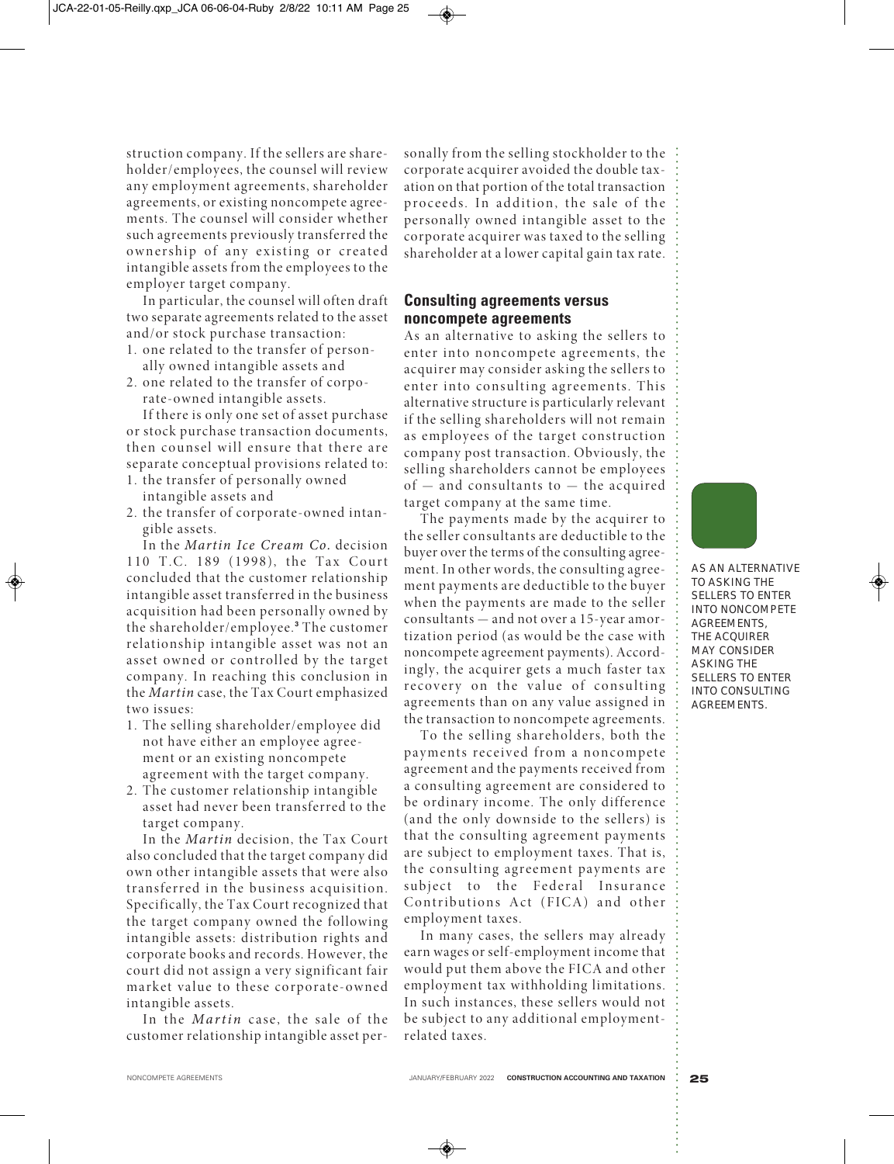struction company. If the sellers are shareholder/employees, the counsel will review any employment agreements, shareholder agreements, or existing noncompete agreements. The counsel will consider whether such agreements previously transferred the ownership of any existing or created intangible assets from the employees to the employer target company.

In particular, the counsel will often draft two separate agreements related to the asset and/or stock purchase transaction:

- 1. one related to the transfer of personally owned intangible assets and
- 2. one related to the transfer of corporate-owned intangible assets.

If there is only one set of asset purchase or stock purchase transaction documents, then counsel will ensure that there are separate conceptual provisions related to:

- 1. the transfer of personally owned intangible assets and
- 2. the transfer of corporate-owned intangible assets.

In the *Martin Ice Cream Co.* decision 110 T.C. 189 (1998), the Tax Court concluded that the customer relationship intangible asset transferred in the business acquisition had been personally owned by the shareholder/employee. **<sup>3</sup>** The customer relationship intangible asset was not an asset owned or controlled by the target company. In reaching this conclusion in the *Martin* case, the Tax Court emphasized two issues:

- 1. The selling shareholder/employee did not have either an employee agreement or an existing noncompete agreement with the target company.
- 2. The customer relationship intangible asset had never been transferred to the target company.

In the *Martin* decision, the Tax Court also concluded that the target company did own other intangible assets that were also transferred in the business acquisition. Specifically, the Tax Court recognized that the target company owned the following intangible assets: distribution rights and corporate books and records. However, the court did not assign a very significant fair market value to these corporate-owned intangible assets.

In the *Martin* case, the sale of the customer relationship intangible asset personally from the selling stockholder to the corporate acquirer avoided the double taxation on that portion of the total transaction proceeds. In addition, the sale of the personally owned intangible asset to the corporate acquirer was taxed to the selling shareholder at a lower capital gain tax rate.

## **Consulting agreements versus noncompete agreements**

As an alternative to asking the sellers to enter into noncompete agreements, the acquirer may consider asking the sellers to enter into consulting agreements. This alternative structure is particularly relevant if the selling shareholders will not remain as employees of the target construction company post transaction. Obviously, the selling shareholders cannot be employees  $of$  — and consultants to — the acquired target company at the same time.

The payments made by the acquirer to the seller consultants are deductible to the buyer over the terms of the consulting agreement. In other words, the consulting agreement payments are deductible to the buyer when the payments are made to the seller consultants — and not over a 15-year amortization period (as would be the case with noncompete agreement payments). Accordingly, the acquirer gets a much faster tax recovery on the value of consulting agreements than on any value assigned in the transaction to noncompete agreements.

To the selling shareholders, both the payments received from a noncompete agreement and the payments received from a consulting agreement are considered to be ordinary income. The only difference (and the only downside to the sellers) is that the consulting agreement payments are subject to employment taxes. That is, the consulting agreement payments are subject to the Federal Insurance Contributions Act (FICA) and other employment taxes.

In many cases, the sellers may already earn wages or self-employment income that would put them above the FICA and other employment tax withholding limitations. In such instances, these sellers would not be subject to any additional employmentrelated taxes.

**AS AN ALTERNATIVE TO ASKING THE SELLERS TO ENTER INTO NONCOMPETE AGREEMENTS, THE ACQUIRER MAY CONSIDER ASKING THE SELLERS TO ENTER INTO CONSULTING AGREEMENTS.**